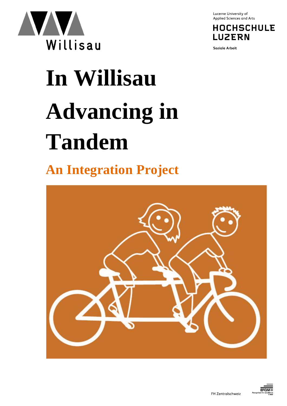

Lucerne University of Applied Sciences and Arts

**HOCHSCHULE LUZERN** 

**Soziale Arbeit** 

# **In Willisau Advancing in Tandem**

# **An Integration Project**



**FFOM**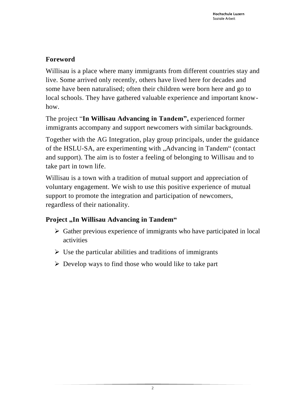### **Foreword**

Willisau is a place where many immigrants from different countries stay and live. Some arrived only recently, others have lived here for decades and some have been naturalised; often their children were born here and go to local schools. They have gathered valuable experience and important knowhow.

The project "**In Willisau Advancing in Tandem",** experienced former immigrants accompany and support newcomers with similar backgrounds.

Together with the AG Integration, play group principals, under the guidance of the HSLU-SA, are experimenting with "Advancing in Tandem" (contact and support). The aim is to foster a feeling of belonging to Willisau and to take part in town life.

Willisau is a town with a tradition of mutual support and appreciation of voluntary engagement. We wish to use this positive experience of mutual support to promote the integration and participation of newcomers, regardless of their nationality.

## **Project** "In Willisau Advancing in Tandem"

- $\triangleright$  Gather previous experience of immigrants who have participated in local activities
- $\triangleright$  Use the particular abilities and traditions of immigrants
- $\triangleright$  Develop ways to find those who would like to take part